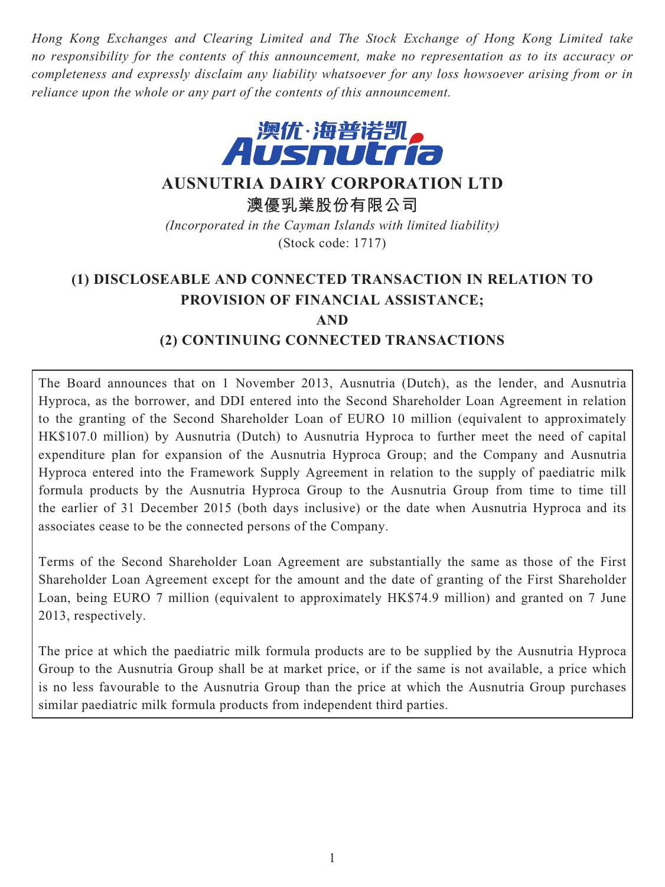*Hong Kong Exchanges and Clearing Limited and The Stock Exchange of Hong Kong Limited take no responsibility for the contents of this announcement, make no representation as to its accuracy or completeness and expressly disclaim any liability whatsoever for any loss howsoever arising from or in reliance upon the whole or any part of the contents of this announcement.*



**AUSNUTRIA DAIRY CORPORATION LTD**

**澳優乳業股份有限公司**

*(Incorporated in the Cayman Islands with limited liability)* (Stock code: 1717)

# **(1) DISCLOSEABLE AND CONNECTED TRANSACTION IN RELATION TO PROVISION OF FINANCIAL ASSISTANCE; AND (2) CONTINUING CONNECTED TRANSACTIONS**

The Board announces that on 1 November 2013, Ausnutria (Dutch), as the lender, and Ausnutria Hyproca, as the borrower, and DDI entered into the Second Shareholder Loan Agreement in relation to the granting of the Second Shareholder Loan of EURO 10 million (equivalent to approximately HK\$107.0 million) by Ausnutria (Dutch) to Ausnutria Hyproca to further meet the need of capital expenditure plan for expansion of the Ausnutria Hyproca Group; and the Company and Ausnutria Hyproca entered into the Framework Supply Agreement in relation to the supply of paediatric milk formula products by the Ausnutria Hyproca Group to the Ausnutria Group from time to time till the earlier of 31 December 2015 (both days inclusive) or the date when Ausnutria Hyproca and its associates cease to be the connected persons of the Company.

Terms of the Second Shareholder Loan Agreement are substantially the same as those of the First Shareholder Loan Agreement except for the amount and the date of granting of the First Shareholder Loan, being EURO 7 million (equivalent to approximately HK\$74.9 million) and granted on 7 June 2013, respectively.

The price at which the paediatric milk formula products are to be supplied by the Ausnutria Hyproca Group to the Ausnutria Group shall be at market price, or if the same is not available, a price which is no less favourable to the Ausnutria Group than the price at which the Ausnutria Group purchases similar paediatric milk formula products from independent third parties.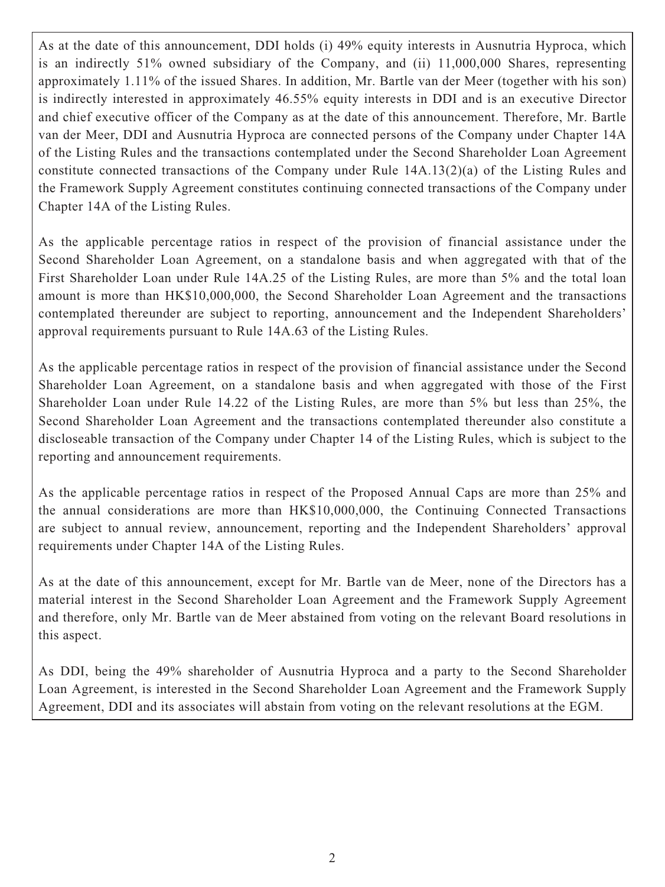As at the date of this announcement, DDI holds (i) 49% equity interests in Ausnutria Hyproca, which is an indirectly 51% owned subsidiary of the Company, and (ii) 11,000,000 Shares, representing approximately 1.11% of the issued Shares. In addition, Mr. Bartle van der Meer (together with his son) is indirectly interested in approximately 46.55% equity interests in DDI and is an executive Director and chief executive officer of the Company as at the date of this announcement. Therefore, Mr. Bartle van der Meer, DDI and Ausnutria Hyproca are connected persons of the Company under Chapter 14A of the Listing Rules and the transactions contemplated under the Second Shareholder Loan Agreement constitute connected transactions of the Company under Rule 14A.13(2)(a) of the Listing Rules and the Framework Supply Agreement constitutes continuing connected transactions of the Company under Chapter 14A of the Listing Rules.

As the applicable percentage ratios in respect of the provision of financial assistance under the Second Shareholder Loan Agreement, on a standalone basis and when aggregated with that of the First Shareholder Loan under Rule 14A.25 of the Listing Rules, are more than 5% and the total loan amount is more than HK\$10,000,000, the Second Shareholder Loan Agreement and the transactions contemplated thereunder are subject to reporting, announcement and the Independent Shareholders' approval requirements pursuant to Rule 14A.63 of the Listing Rules.

As the applicable percentage ratios in respect of the provision of financial assistance under the Second Shareholder Loan Agreement, on a standalone basis and when aggregated with those of the First Shareholder Loan under Rule 14.22 of the Listing Rules, are more than 5% but less than 25%, the Second Shareholder Loan Agreement and the transactions contemplated thereunder also constitute a discloseable transaction of the Company under Chapter 14 of the Listing Rules, which is subject to the reporting and announcement requirements.

As the applicable percentage ratios in respect of the Proposed Annual Caps are more than 25% and the annual considerations are more than HK\$10,000,000, the Continuing Connected Transactions are subject to annual review, announcement, reporting and the Independent Shareholders' approval requirements under Chapter 14A of the Listing Rules.

As at the date of this announcement, except for Mr. Bartle van de Meer, none of the Directors has a material interest in the Second Shareholder Loan Agreement and the Framework Supply Agreement and therefore, only Mr. Bartle van de Meer abstained from voting on the relevant Board resolutions in this aspect.

As DDI, being the 49% shareholder of Ausnutria Hyproca and a party to the Second Shareholder Loan Agreement, is interested in the Second Shareholder Loan Agreement and the Framework Supply Agreement, DDI and its associates will abstain from voting on the relevant resolutions at the EGM.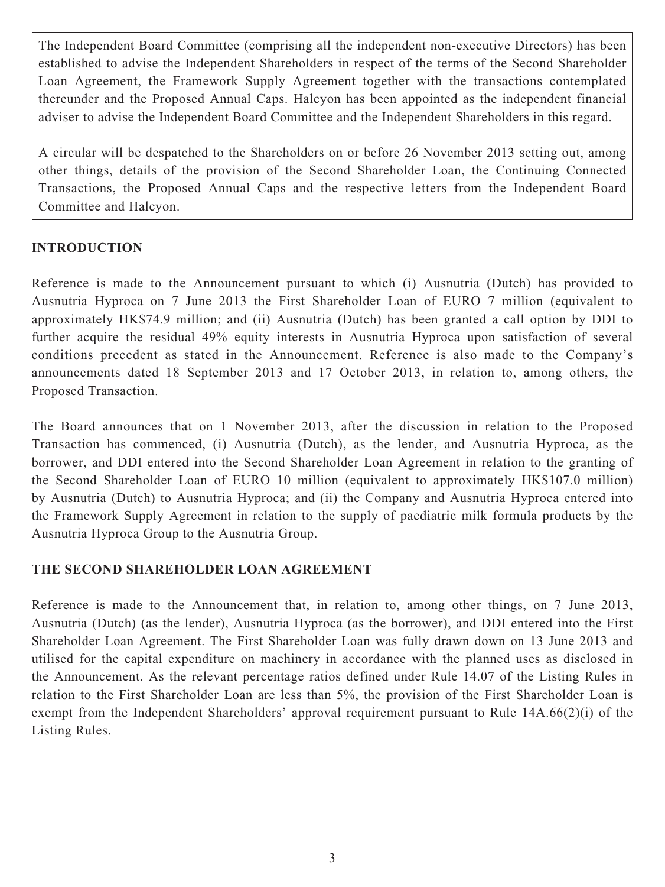The Independent Board Committee (comprising all the independent non-executive Directors) has been established to advise the Independent Shareholders in respect of the terms of the Second Shareholder Loan Agreement, the Framework Supply Agreement together with the transactions contemplated thereunder and the Proposed Annual Caps. Halcyon has been appointed as the independent financial adviser to advise the Independent Board Committee and the Independent Shareholders in this regard.

A circular will be despatched to the Shareholders on or before 26 November 2013 setting out, among other things, details of the provision of the Second Shareholder Loan, the Continuing Connected Transactions, the Proposed Annual Caps and the respective letters from the Independent Board Committee and Halcyon.

### **INTRODUCTION**

Reference is made to the Announcement pursuant to which (i) Ausnutria (Dutch) has provided to Ausnutria Hyproca on 7 June 2013 the First Shareholder Loan of EURO 7 million (equivalent to approximately HK\$74.9 million; and (ii) Ausnutria (Dutch) has been granted a call option by DDI to further acquire the residual 49% equity interests in Ausnutria Hyproca upon satisfaction of several conditions precedent as stated in the Announcement. Reference is also made to the Company's announcements dated 18 September 2013 and 17 October 2013, in relation to, among others, the Proposed Transaction.

The Board announces that on 1 November 2013, after the discussion in relation to the Proposed Transaction has commenced, (i) Ausnutria (Dutch), as the lender, and Ausnutria Hyproca, as the borrower, and DDI entered into the Second Shareholder Loan Agreement in relation to the granting of the Second Shareholder Loan of EURO 10 million (equivalent to approximately HK\$107.0 million) by Ausnutria (Dutch) to Ausnutria Hyproca; and (ii) the Company and Ausnutria Hyproca entered into the Framework Supply Agreement in relation to the supply of paediatric milk formula products by the Ausnutria Hyproca Group to the Ausnutria Group.

### **THE SECOND SHAREHOLDER LOAN AGREEMENT**

Reference is made to the Announcement that, in relation to, among other things, on 7 June 2013, Ausnutria (Dutch) (as the lender), Ausnutria Hyproca (as the borrower), and DDI entered into the First Shareholder Loan Agreement. The First Shareholder Loan was fully drawn down on 13 June 2013 and utilised for the capital expenditure on machinery in accordance with the planned uses as disclosed in the Announcement. As the relevant percentage ratios defined under Rule 14.07 of the Listing Rules in relation to the First Shareholder Loan are less than 5%, the provision of the First Shareholder Loan is exempt from the Independent Shareholders' approval requirement pursuant to Rule 14A.66(2)(i) of the Listing Rules.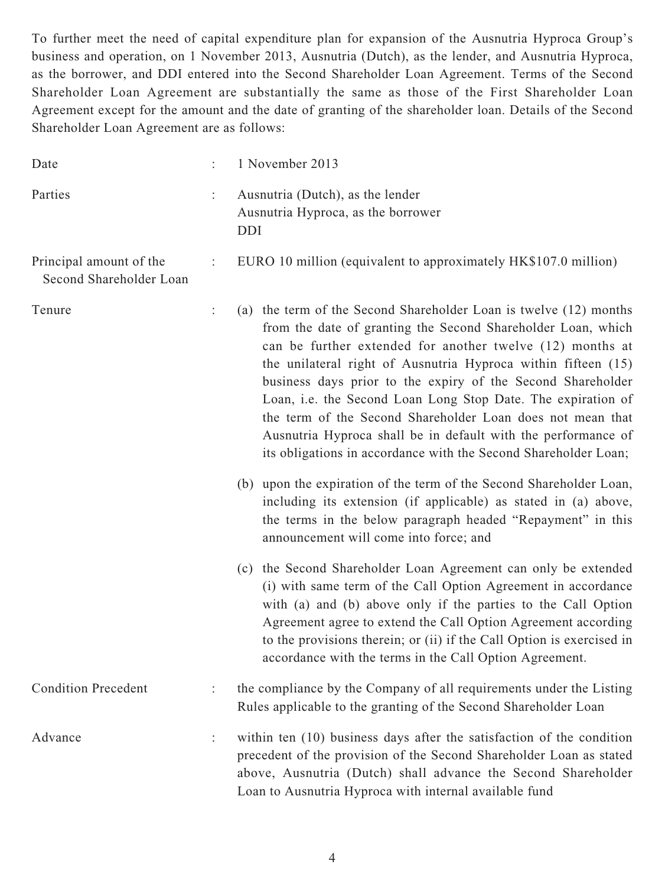To further meet the need of capital expenditure plan for expansion of the Ausnutria Hyproca Group's business and operation, on 1 November 2013, Ausnutria (Dutch), as the lender, and Ausnutria Hyproca, as the borrower, and DDI entered into the Second Shareholder Loan Agreement. Terms of the Second Shareholder Loan Agreement are substantially the same as those of the First Shareholder Loan Agreement except for the amount and the date of granting of the shareholder loan. Details of the Second Shareholder Loan Agreement are as follows:

| Date                                               | 1 November 2013                                                                                                                                                                                                                                                                                                                                                                                                                                                                                                                                                                                  |
|----------------------------------------------------|--------------------------------------------------------------------------------------------------------------------------------------------------------------------------------------------------------------------------------------------------------------------------------------------------------------------------------------------------------------------------------------------------------------------------------------------------------------------------------------------------------------------------------------------------------------------------------------------------|
| Parties                                            | Ausnutria (Dutch), as the lender<br>Ausnutria Hyproca, as the borrower<br><b>DDI</b>                                                                                                                                                                                                                                                                                                                                                                                                                                                                                                             |
| Principal amount of the<br>Second Shareholder Loan | EURO 10 million (equivalent to approximately HK\$107.0 million)                                                                                                                                                                                                                                                                                                                                                                                                                                                                                                                                  |
| Tenure                                             | (a) the term of the Second Shareholder Loan is twelve (12) months<br>from the date of granting the Second Shareholder Loan, which<br>can be further extended for another twelve (12) months at<br>the unilateral right of Ausnutria Hyproca within fifteen (15)<br>business days prior to the expiry of the Second Shareholder<br>Loan, i.e. the Second Loan Long Stop Date. The expiration of<br>the term of the Second Shareholder Loan does not mean that<br>Ausnutria Hyproca shall be in default with the performance of<br>its obligations in accordance with the Second Shareholder Loan; |
|                                                    | (b) upon the expiration of the term of the Second Shareholder Loan,<br>including its extension (if applicable) as stated in (a) above,<br>the terms in the below paragraph headed "Repayment" in this<br>announcement will come into force; and                                                                                                                                                                                                                                                                                                                                                  |
|                                                    | (c) the Second Shareholder Loan Agreement can only be extended<br>(i) with same term of the Call Option Agreement in accordance<br>with (a) and (b) above only if the parties to the Call Option<br>Agreement agree to extend the Call Option Agreement according<br>to the provisions therein; or (ii) if the Call Option is exercised in<br>accordance with the terms in the Call Option Agreement.                                                                                                                                                                                            |
| <b>Condition Precedent</b>                         | the compliance by the Company of all requirements under the Listing<br>Rules applicable to the granting of the Second Shareholder Loan                                                                                                                                                                                                                                                                                                                                                                                                                                                           |
| Advance                                            | within ten $(10)$ business days after the satisfaction of the condition<br>precedent of the provision of the Second Shareholder Loan as stated<br>above, Ausnutria (Dutch) shall advance the Second Shareholder<br>Loan to Ausnutria Hyproca with internal available fund                                                                                                                                                                                                                                                                                                                        |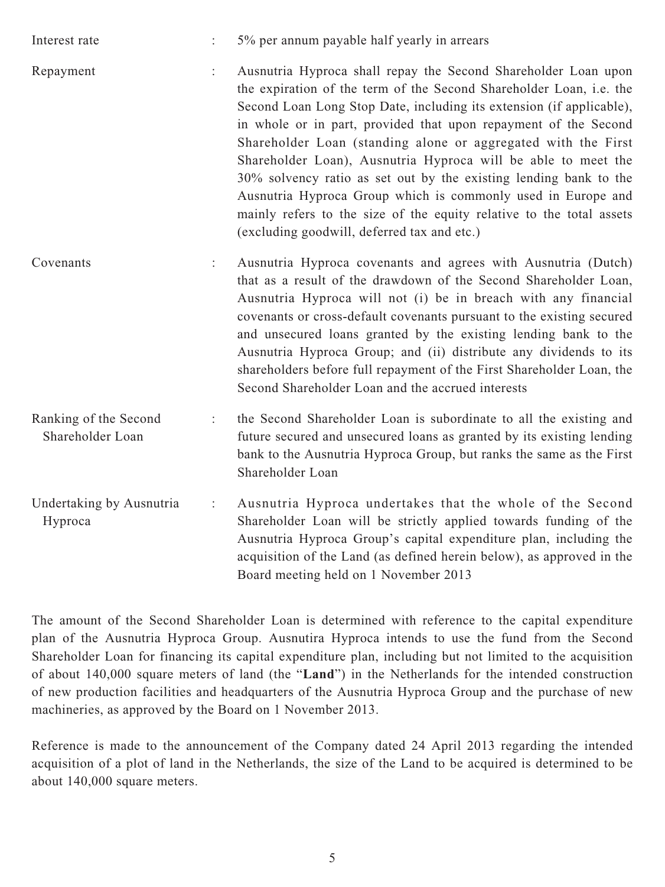| Interest rate                             | $\ddot{\cdot}$       | 5% per annum payable half yearly in arrears                                                                                                                                                                                                                                                                                                                                                                                                                                                                                                                                                                                                                                    |
|-------------------------------------------|----------------------|--------------------------------------------------------------------------------------------------------------------------------------------------------------------------------------------------------------------------------------------------------------------------------------------------------------------------------------------------------------------------------------------------------------------------------------------------------------------------------------------------------------------------------------------------------------------------------------------------------------------------------------------------------------------------------|
| Repayment                                 | ÷.                   | Ausnutria Hyproca shall repay the Second Shareholder Loan upon<br>the expiration of the term of the Second Shareholder Loan, i.e. the<br>Second Loan Long Stop Date, including its extension (if applicable),<br>in whole or in part, provided that upon repayment of the Second<br>Shareholder Loan (standing alone or aggregated with the First<br>Shareholder Loan), Ausnutria Hyproca will be able to meet the<br>30% solvency ratio as set out by the existing lending bank to the<br>Ausnutria Hyproca Group which is commonly used in Europe and<br>mainly refers to the size of the equity relative to the total assets<br>(excluding goodwill, deferred tax and etc.) |
| Covenants                                 | $\ddot{\cdot}$       | Ausnutria Hyproca covenants and agrees with Ausnutria (Dutch)<br>that as a result of the drawdown of the Second Shareholder Loan,<br>Ausnutria Hyproca will not (i) be in breach with any financial<br>covenants or cross-default covenants pursuant to the existing secured<br>and unsecured loans granted by the existing lending bank to the<br>Ausnutria Hyproca Group; and (ii) distribute any dividends to its<br>shareholders before full repayment of the First Shareholder Loan, the<br>Second Shareholder Loan and the accrued interests                                                                                                                             |
| Ranking of the Second<br>Shareholder Loan | $\ddot{\phantom{a}}$ | the Second Shareholder Loan is subordinate to all the existing and<br>future secured and unsecured loans as granted by its existing lending<br>bank to the Ausnutria Hyproca Group, but ranks the same as the First<br>Shareholder Loan                                                                                                                                                                                                                                                                                                                                                                                                                                        |
| Undertaking by Ausnutria<br>Hyproca       | ÷                    | Ausnutria Hyproca undertakes that the whole of the Second<br>Shareholder Loan will be strictly applied towards funding of the<br>Ausnutria Hyproca Group's capital expenditure plan, including the<br>acquisition of the Land (as defined herein below), as approved in the<br>Board meeting held on 1 November 2013                                                                                                                                                                                                                                                                                                                                                           |

The amount of the Second Shareholder Loan is determined with reference to the capital expenditure plan of the Ausnutria Hyproca Group. Ausnutira Hyproca intends to use the fund from the Second Shareholder Loan for financing its capital expenditure plan, including but not limited to the acquisition of about 140,000 square meters of land (the "**Land**") in the Netherlands for the intended construction of new production facilities and headquarters of the Ausnutria Hyproca Group and the purchase of new machineries, as approved by the Board on 1 November 2013.

Reference is made to the announcement of the Company dated 24 April 2013 regarding the intended acquisition of a plot of land in the Netherlands, the size of the Land to be acquired is determined to be about 140,000 square meters.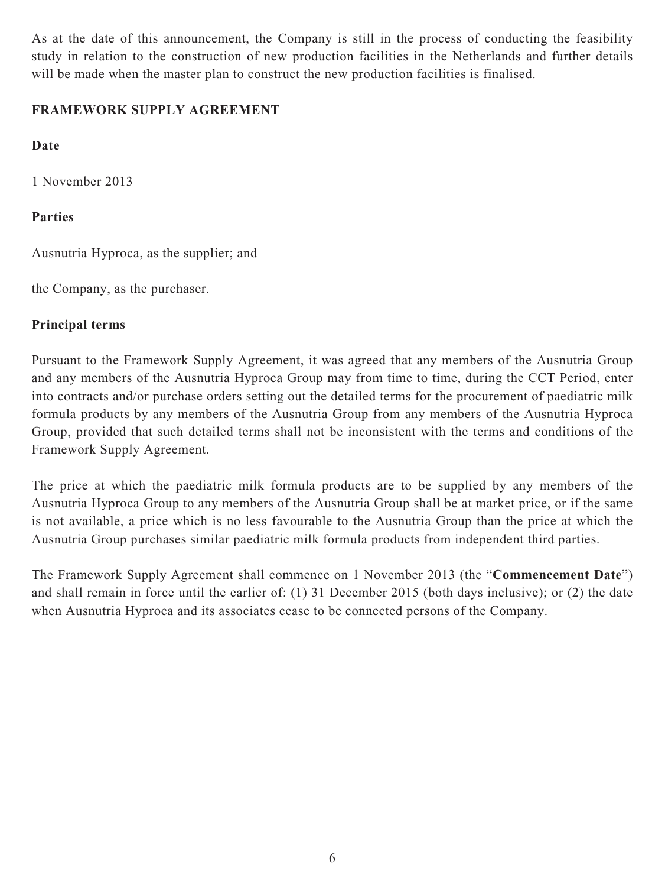As at the date of this announcement, the Company is still in the process of conducting the feasibility study in relation to the construction of new production facilities in the Netherlands and further details will be made when the master plan to construct the new production facilities is finalised.

## **FRAMEWORK SUPPLY AGREEMENT**

## **Date**

1 November 2013

## **Parties**

Ausnutria Hyproca, as the supplier; and

the Company, as the purchaser.

## **Principal terms**

Pursuant to the Framework Supply Agreement, it was agreed that any members of the Ausnutria Group and any members of the Ausnutria Hyproca Group may from time to time, during the CCT Period, enter into contracts and/or purchase orders setting out the detailed terms for the procurement of paediatric milk formula products by any members of the Ausnutria Group from any members of the Ausnutria Hyproca Group, provided that such detailed terms shall not be inconsistent with the terms and conditions of the Framework Supply Agreement.

The price at which the paediatric milk formula products are to be supplied by any members of the Ausnutria Hyproca Group to any members of the Ausnutria Group shall be at market price, or if the same is not available, a price which is no less favourable to the Ausnutria Group than the price at which the Ausnutria Group purchases similar paediatric milk formula products from independent third parties.

The Framework Supply Agreement shall commence on 1 November 2013 (the "**Commencement Date**") and shall remain in force until the earlier of: (1) 31 December 2015 (both days inclusive); or (2) the date when Ausnutria Hyproca and its associates cease to be connected persons of the Company.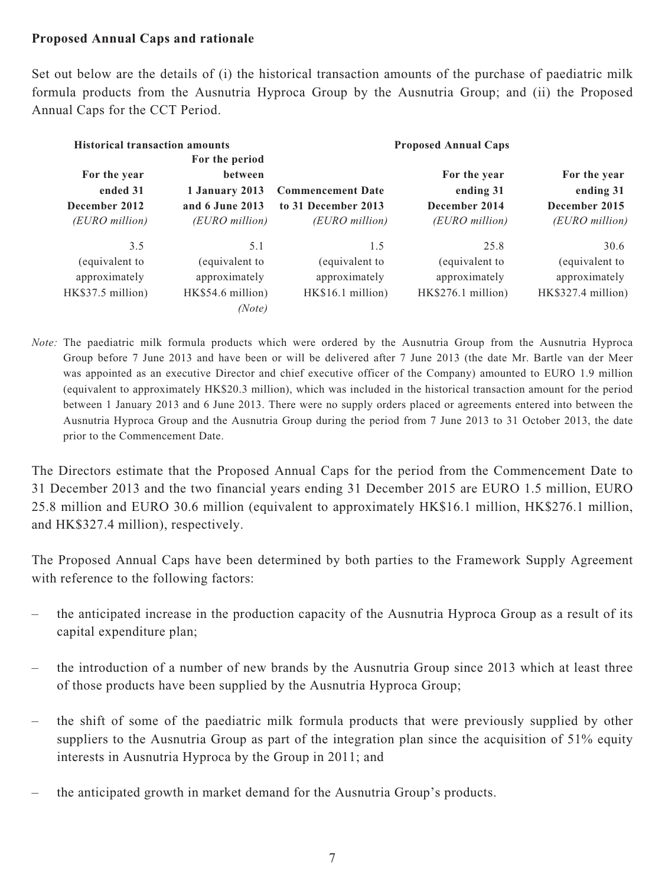#### **Proposed Annual Caps and rationale**

Set out below are the details of (i) the historical transaction amounts of the purchase of paediatric milk formula products from the Ausnutria Hyproca Group by the Ausnutria Group; and (ii) the Proposed Annual Caps for the CCT Period.

| <b>Historical transaction amounts</b>               | For the period                                                        |                                                      | <b>Proposed Annual Caps</b>                           |                                                       |
|-----------------------------------------------------|-----------------------------------------------------------------------|------------------------------------------------------|-------------------------------------------------------|-------------------------------------------------------|
| For the year<br>ended 31<br>December 2012           | <b>between</b><br>1 January 2013<br>and 6 June 2013<br>(EURO million) | <b>Commencement Date</b><br>to 31 December 2013      | For the year<br>ending 31<br>December 2014            | For the year<br>ending 31<br>December 2015            |
| (EURO million)<br>3.5                               | 5.1                                                                   | (EURO million)<br>1.5                                | (EURO million)<br>25.8                                | (EURO million)<br>30.6                                |
| equivalent to<br>approximately<br>HK\$37.5 million) | (equivalent to<br>approximately<br>HK\$54.6 million)<br>(Note)        | (equivalent to<br>approximately<br>HK\$16.1 million) | (equivalent to<br>approximately<br>HK\$276.1 million) | (equivalent to<br>approximately<br>HK\$327.4 million) |

*Note:* The paediatric milk formula products which were ordered by the Ausnutria Group from the Ausnutria Hyproca Group before 7 June 2013 and have been or will be delivered after 7 June 2013 (the date Mr. Bartle van der Meer was appointed as an executive Director and chief executive officer of the Company) amounted to EURO 1.9 million (equivalent to approximately HK\$20.3 million), which was included in the historical transaction amount for the period between 1 January 2013 and 6 June 2013. There were no supply orders placed or agreements entered into between the Ausnutria Hyproca Group and the Ausnutria Group during the period from 7 June 2013 to 31 October 2013, the date prior to the Commencement Date.

The Directors estimate that the Proposed Annual Caps for the period from the Commencement Date to 31 December 2013 and the two financial years ending 31 December 2015 are EURO 1.5 million, EURO 25.8 million and EURO 30.6 million (equivalent to approximately HK\$16.1 million, HK\$276.1 million, and HK\$327.4 million), respectively.

The Proposed Annual Caps have been determined by both parties to the Framework Supply Agreement with reference to the following factors:

- the anticipated increase in the production capacity of the Ausnutria Hyproca Group as a result of its capital expenditure plan;
- the introduction of a number of new brands by the Ausnutria Group since 2013 which at least three of those products have been supplied by the Ausnutria Hyproca Group;
- the shift of some of the paediatric milk formula products that were previously supplied by other suppliers to the Ausnutria Group as part of the integration plan since the acquisition of 51% equity interests in Ausnutria Hyproca by the Group in 2011; and
- the anticipated growth in market demand for the Ausnutria Group's products.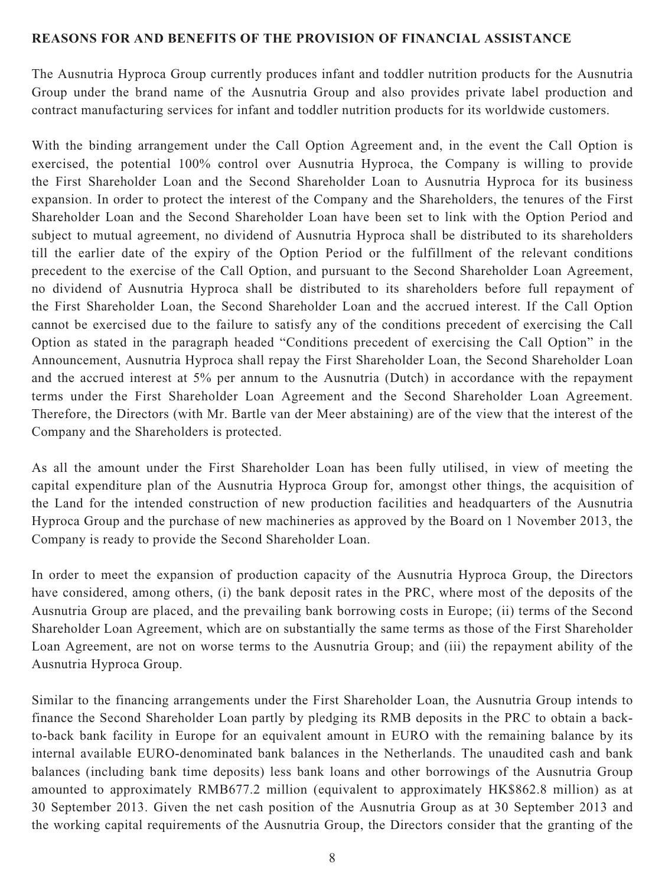#### **REASONS FOR AND BENEFITS OF THE PROVISION OF FINANCIAL ASSISTANCE**

The Ausnutria Hyproca Group currently produces infant and toddler nutrition products for the Ausnutria Group under the brand name of the Ausnutria Group and also provides private label production and contract manufacturing services for infant and toddler nutrition products for its worldwide customers.

With the binding arrangement under the Call Option Agreement and, in the event the Call Option is exercised, the potential 100% control over Ausnutria Hyproca, the Company is willing to provide the First Shareholder Loan and the Second Shareholder Loan to Ausnutria Hyproca for its business expansion. In order to protect the interest of the Company and the Shareholders, the tenures of the First Shareholder Loan and the Second Shareholder Loan have been set to link with the Option Period and subject to mutual agreement, no dividend of Ausnutria Hyproca shall be distributed to its shareholders till the earlier date of the expiry of the Option Period or the fulfillment of the relevant conditions precedent to the exercise of the Call Option, and pursuant to the Second Shareholder Loan Agreement, no dividend of Ausnutria Hyproca shall be distributed to its shareholders before full repayment of the First Shareholder Loan, the Second Shareholder Loan and the accrued interest. If the Call Option cannot be exercised due to the failure to satisfy any of the conditions precedent of exercising the Call Option as stated in the paragraph headed "Conditions precedent of exercising the Call Option" in the Announcement, Ausnutria Hyproca shall repay the First Shareholder Loan, the Second Shareholder Loan and the accrued interest at 5% per annum to the Ausnutria (Dutch) in accordance with the repayment terms under the First Shareholder Loan Agreement and the Second Shareholder Loan Agreement. Therefore, the Directors (with Mr. Bartle van der Meer abstaining) are of the view that the interest of the Company and the Shareholders is protected.

As all the amount under the First Shareholder Loan has been fully utilised, in view of meeting the capital expenditure plan of the Ausnutria Hyproca Group for, amongst other things, the acquisition of the Land for the intended construction of new production facilities and headquarters of the Ausnutria Hyproca Group and the purchase of new machineries as approved by the Board on 1 November 2013, the Company is ready to provide the Second Shareholder Loan.

In order to meet the expansion of production capacity of the Ausnutria Hyproca Group, the Directors have considered, among others, (i) the bank deposit rates in the PRC, where most of the deposits of the Ausnutria Group are placed, and the prevailing bank borrowing costs in Europe; (ii) terms of the Second Shareholder Loan Agreement, which are on substantially the same terms as those of the First Shareholder Loan Agreement, are not on worse terms to the Ausnutria Group; and (iii) the repayment ability of the Ausnutria Hyproca Group.

Similar to the financing arrangements under the First Shareholder Loan, the Ausnutria Group intends to finance the Second Shareholder Loan partly by pledging its RMB deposits in the PRC to obtain a backto-back bank facility in Europe for an equivalent amount in EURO with the remaining balance by its internal available EURO-denominated bank balances in the Netherlands. The unaudited cash and bank balances (including bank time deposits) less bank loans and other borrowings of the Ausnutria Group amounted to approximately RMB677.2 million (equivalent to approximately HK\$862.8 million) as at 30 September 2013. Given the net cash position of the Ausnutria Group as at 30 September 2013 and the working capital requirements of the Ausnutria Group, the Directors consider that the granting of the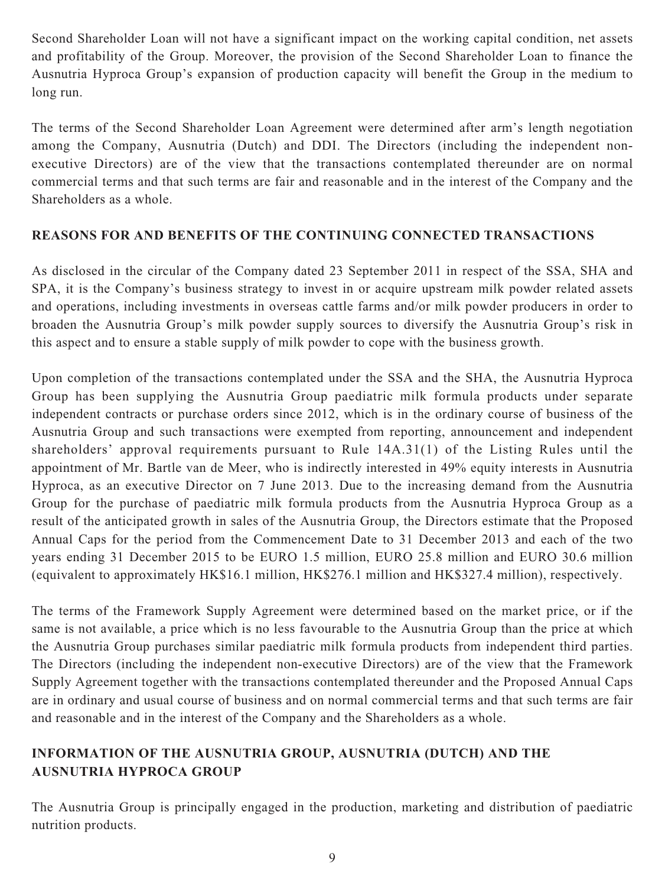Second Shareholder Loan will not have a significant impact on the working capital condition, net assets and profitability of the Group. Moreover, the provision of the Second Shareholder Loan to finance the Ausnutria Hyproca Group's expansion of production capacity will benefit the Group in the medium to long run.

The terms of the Second Shareholder Loan Agreement were determined after arm's length negotiation among the Company, Ausnutria (Dutch) and DDI. The Directors (including the independent nonexecutive Directors) are of the view that the transactions contemplated thereunder are on normal commercial terms and that such terms are fair and reasonable and in the interest of the Company and the Shareholders as a whole.

### **REASONS FOR AND BENEFITS OF THE CONTINUING CONNECTED TRANSACTIONS**

As disclosed in the circular of the Company dated 23 September 2011 in respect of the SSA, SHA and SPA, it is the Company's business strategy to invest in or acquire upstream milk powder related assets and operations, including investments in overseas cattle farms and/or milk powder producers in order to broaden the Ausnutria Group's milk powder supply sources to diversify the Ausnutria Group's risk in this aspect and to ensure a stable supply of milk powder to cope with the business growth.

Upon completion of the transactions contemplated under the SSA and the SHA, the Ausnutria Hyproca Group has been supplying the Ausnutria Group paediatric milk formula products under separate independent contracts or purchase orders since 2012, which is in the ordinary course of business of the Ausnutria Group and such transactions were exempted from reporting, announcement and independent shareholders' approval requirements pursuant to Rule 14A.31(1) of the Listing Rules until the appointment of Mr. Bartle van de Meer, who is indirectly interested in 49% equity interests in Ausnutria Hyproca, as an executive Director on 7 June 2013. Due to the increasing demand from the Ausnutria Group for the purchase of paediatric milk formula products from the Ausnutria Hyproca Group as a result of the anticipated growth in sales of the Ausnutria Group, the Directors estimate that the Proposed Annual Caps for the period from the Commencement Date to 31 December 2013 and each of the two years ending 31 December 2015 to be EURO 1.5 million, EURO 25.8 million and EURO 30.6 million (equivalent to approximately HK\$16.1 million, HK\$276.1 million and HK\$327.4 million), respectively.

The terms of the Framework Supply Agreement were determined based on the market price, or if the same is not available, a price which is no less favourable to the Ausnutria Group than the price at which the Ausnutria Group purchases similar paediatric milk formula products from independent third parties. The Directors (including the independent non-executive Directors) are of the view that the Framework Supply Agreement together with the transactions contemplated thereunder and the Proposed Annual Caps are in ordinary and usual course of business and on normal commercial terms and that such terms are fair and reasonable and in the interest of the Company and the Shareholders as a whole.

## **INFORMATION OF THE AUSNUTRIA GROUP, AUSNUTRIA (DUTCH) AND THE AUSNUTRIA HYPROCA GROUP**

The Ausnutria Group is principally engaged in the production, marketing and distribution of paediatric nutrition products.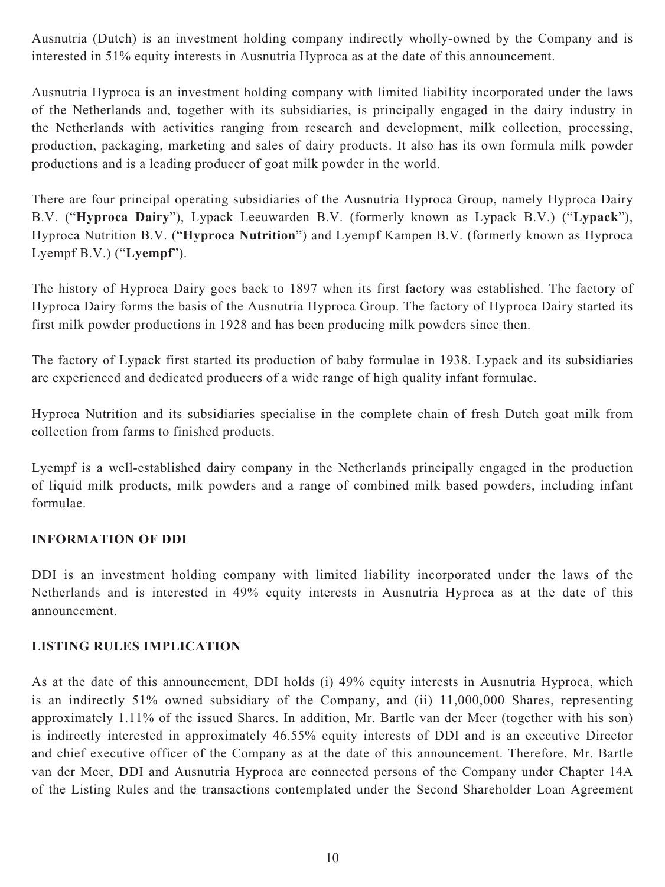Ausnutria (Dutch) is an investment holding company indirectly wholly-owned by the Company and is interested in 51% equity interests in Ausnutria Hyproca as at the date of this announcement.

Ausnutria Hyproca is an investment holding company with limited liability incorporated under the laws of the Netherlands and, together with its subsidiaries, is principally engaged in the dairy industry in the Netherlands with activities ranging from research and development, milk collection, processing, production, packaging, marketing and sales of dairy products. It also has its own formula milk powder productions and is a leading producer of goat milk powder in the world.

There are four principal operating subsidiaries of the Ausnutria Hyproca Group, namely Hyproca Dairy B.V. ("**Hyproca Dairy**"), Lypack Leeuwarden B.V. (formerly known as Lypack B.V.) ("**Lypack**"), Hyproca Nutrition B.V. ("**Hyproca Nutrition**") and Lyempf Kampen B.V. (formerly known as Hyproca Lyempf B.V.) ("**Lyempf**").

The history of Hyproca Dairy goes back to 1897 when its first factory was established. The factory of Hyproca Dairy forms the basis of the Ausnutria Hyproca Group. The factory of Hyproca Dairy started its first milk powder productions in 1928 and has been producing milk powders since then.

The factory of Lypack first started its production of baby formulae in 1938. Lypack and its subsidiaries are experienced and dedicated producers of a wide range of high quality infant formulae.

Hyproca Nutrition and its subsidiaries specialise in the complete chain of fresh Dutch goat milk from collection from farms to finished products.

Lyempf is a well-established dairy company in the Netherlands principally engaged in the production of liquid milk products, milk powders and a range of combined milk based powders, including infant formulae.

### **INFORMATION OF DDI**

DDI is an investment holding company with limited liability incorporated under the laws of the Netherlands and is interested in 49% equity interests in Ausnutria Hyproca as at the date of this announcement.

### **LISTING RULES IMPLICATION**

As at the date of this announcement, DDI holds (i) 49% equity interests in Ausnutria Hyproca, which is an indirectly 51% owned subsidiary of the Company, and (ii) 11,000,000 Shares, representing approximately 1.11% of the issued Shares. In addition, Mr. Bartle van der Meer (together with his son) is indirectly interested in approximately 46.55% equity interests of DDI and is an executive Director and chief executive officer of the Company as at the date of this announcement. Therefore, Mr. Bartle van der Meer, DDI and Ausnutria Hyproca are connected persons of the Company under Chapter 14A of the Listing Rules and the transactions contemplated under the Second Shareholder Loan Agreement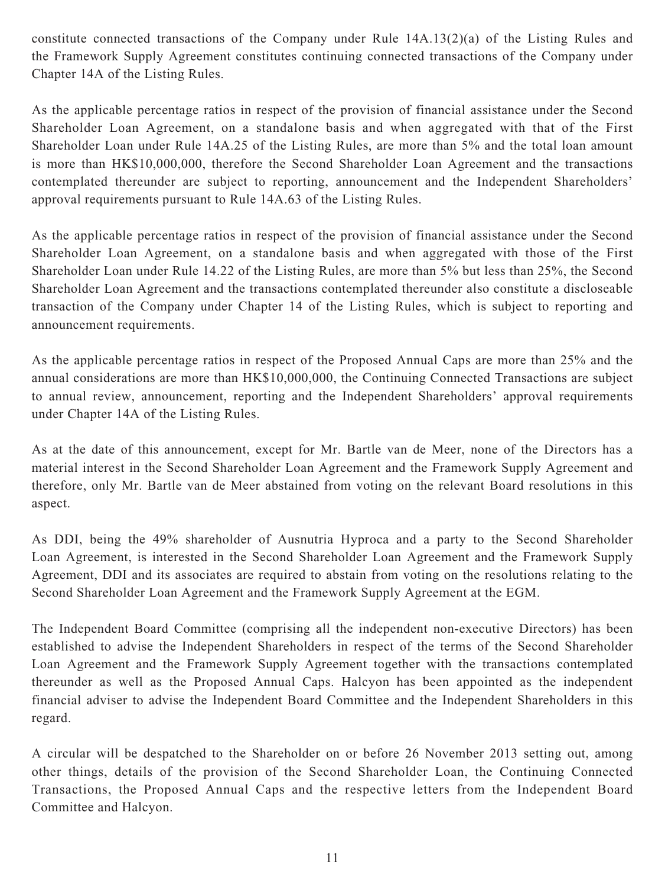constitute connected transactions of the Company under Rule 14A.13(2)(a) of the Listing Rules and the Framework Supply Agreement constitutes continuing connected transactions of the Company under Chapter 14A of the Listing Rules.

As the applicable percentage ratios in respect of the provision of financial assistance under the Second Shareholder Loan Agreement, on a standalone basis and when aggregated with that of the First Shareholder Loan under Rule 14A.25 of the Listing Rules, are more than 5% and the total loan amount is more than HK\$10,000,000, therefore the Second Shareholder Loan Agreement and the transactions contemplated thereunder are subject to reporting, announcement and the Independent Shareholders' approval requirements pursuant to Rule 14A.63 of the Listing Rules.

As the applicable percentage ratios in respect of the provision of financial assistance under the Second Shareholder Loan Agreement, on a standalone basis and when aggregated with those of the First Shareholder Loan under Rule 14.22 of the Listing Rules, are more than 5% but less than 25%, the Second Shareholder Loan Agreement and the transactions contemplated thereunder also constitute a discloseable transaction of the Company under Chapter 14 of the Listing Rules, which is subject to reporting and announcement requirements.

As the applicable percentage ratios in respect of the Proposed Annual Caps are more than 25% and the annual considerations are more than HK\$10,000,000, the Continuing Connected Transactions are subject to annual review, announcement, reporting and the Independent Shareholders' approval requirements under Chapter 14A of the Listing Rules.

As at the date of this announcement, except for Mr. Bartle van de Meer, none of the Directors has a material interest in the Second Shareholder Loan Agreement and the Framework Supply Agreement and therefore, only Mr. Bartle van de Meer abstained from voting on the relevant Board resolutions in this aspect.

As DDI, being the 49% shareholder of Ausnutria Hyproca and a party to the Second Shareholder Loan Agreement, is interested in the Second Shareholder Loan Agreement and the Framework Supply Agreement, DDI and its associates are required to abstain from voting on the resolutions relating to the Second Shareholder Loan Agreement and the Framework Supply Agreement at the EGM.

The Independent Board Committee (comprising all the independent non-executive Directors) has been established to advise the Independent Shareholders in respect of the terms of the Second Shareholder Loan Agreement and the Framework Supply Agreement together with the transactions contemplated thereunder as well as the Proposed Annual Caps. Halcyon has been appointed as the independent financial adviser to advise the Independent Board Committee and the Independent Shareholders in this regard.

A circular will be despatched to the Shareholder on or before 26 November 2013 setting out, among other things, details of the provision of the Second Shareholder Loan, the Continuing Connected Transactions, the Proposed Annual Caps and the respective letters from the Independent Board Committee and Halcyon.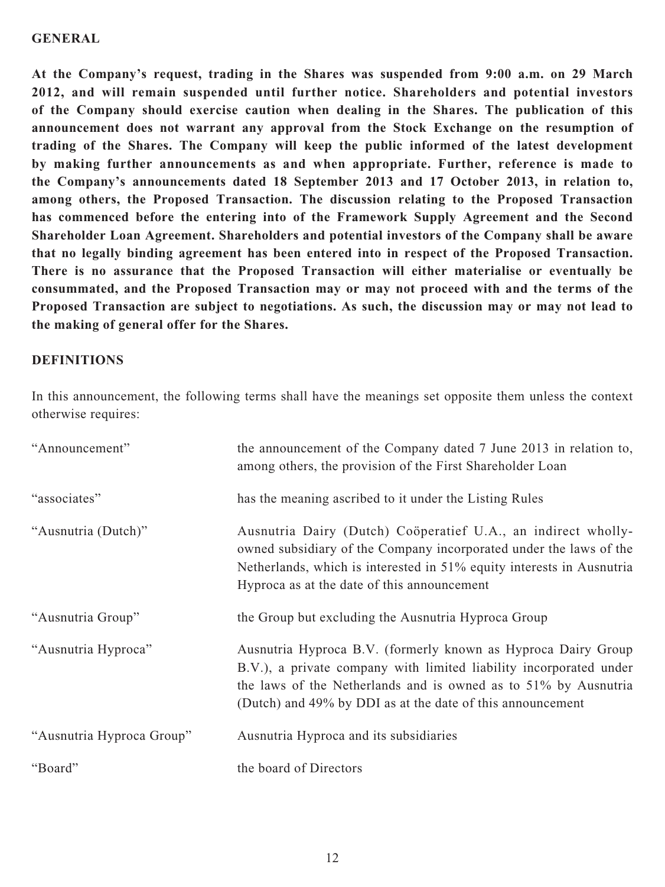#### **GENERAL**

**At the Company's request, trading in the Shares was suspended from 9:00 a.m. on 29 March 2012, and will remain suspended until further notice. Shareholders and potential investors of the Company should exercise caution when dealing in the Shares. The publication of this announcement does not warrant any approval from the Stock Exchange on the resumption of trading of the Shares. The Company will keep the public informed of the latest development by making further announcements as and when appropriate. Further, reference is made to the Company's announcements dated 18 September 2013 and 17 October 2013, in relation to, among others, the Proposed Transaction. The discussion relating to the Proposed Transaction has commenced before the entering into of the Framework Supply Agreement and the Second Shareholder Loan Agreement. Shareholders and potential investors of the Company shall be aware that no legally binding agreement has been entered into in respect of the Proposed Transaction. There is no assurance that the Proposed Transaction will either materialise or eventually be consummated, and the Proposed Transaction may or may not proceed with and the terms of the Proposed Transaction are subject to negotiations. As such, the discussion may or may not lead to the making of general offer for the Shares.**

#### **DEFINITIONS**

In this announcement, the following terms shall have the meanings set opposite them unless the context otherwise requires:

| "Announcement"            | the announcement of the Company dated 7 June 2013 in relation to,<br>among others, the provision of the First Shareholder Loan                                                                                                                                       |
|---------------------------|----------------------------------------------------------------------------------------------------------------------------------------------------------------------------------------------------------------------------------------------------------------------|
| "associates"              | has the meaning ascribed to it under the Listing Rules                                                                                                                                                                                                               |
| "Ausnutria (Dutch)"       | Ausnutria Dairy (Dutch) Coöperatief U.A., an indirect wholly-<br>owned subsidiary of the Company incorporated under the laws of the<br>Netherlands, which is interested in 51% equity interests in Ausnutria<br>Hyproca as at the date of this announcement          |
| "Ausnutria Group"         | the Group but excluding the Ausnutria Hyproca Group                                                                                                                                                                                                                  |
| "Ausnutria Hyproca"       | Ausnutria Hyproca B.V. (formerly known as Hyproca Dairy Group<br>B.V.), a private company with limited liability incorporated under<br>the laws of the Netherlands and is owned as to 51% by Ausnutria<br>(Dutch) and 49% by DDI as at the date of this announcement |
| "Ausnutria Hyproca Group" | Ausnutria Hyproca and its subsidiaries                                                                                                                                                                                                                               |
| "Board"                   | the board of Directors                                                                                                                                                                                                                                               |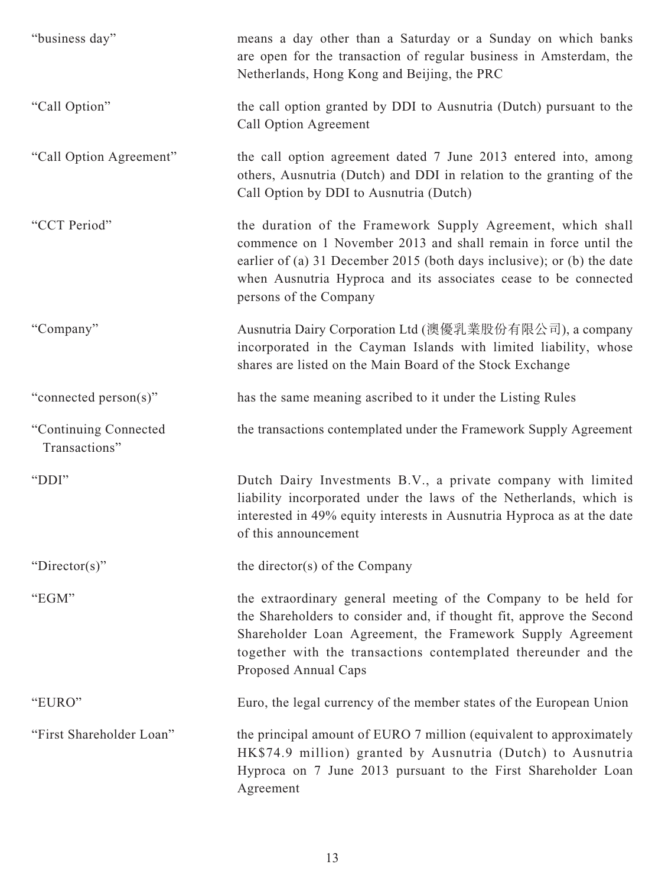| "business day"                         | means a day other than a Saturday or a Sunday on which banks<br>are open for the transaction of regular business in Amsterdam, the<br>Netherlands, Hong Kong and Beijing, the PRC                                                                                                                     |
|----------------------------------------|-------------------------------------------------------------------------------------------------------------------------------------------------------------------------------------------------------------------------------------------------------------------------------------------------------|
| "Call Option"                          | the call option granted by DDI to Ausnutria (Dutch) pursuant to the<br>Call Option Agreement                                                                                                                                                                                                          |
| "Call Option Agreement"                | the call option agreement dated 7 June 2013 entered into, among<br>others, Ausnutria (Dutch) and DDI in relation to the granting of the<br>Call Option by DDI to Ausnutria (Dutch)                                                                                                                    |
| "CCT Period"                           | the duration of the Framework Supply Agreement, which shall<br>commence on 1 November 2013 and shall remain in force until the<br>earlier of (a) 31 December 2015 (both days inclusive); or (b) the date<br>when Ausnutria Hyproca and its associates cease to be connected<br>persons of the Company |
| "Company"                              | Ausnutria Dairy Corporation Ltd (澳優乳業股份有限公司), a company<br>incorporated in the Cayman Islands with limited liability, whose<br>shares are listed on the Main Board of the Stock Exchange                                                                                                              |
| "connected person(s)"                  | has the same meaning ascribed to it under the Listing Rules                                                                                                                                                                                                                                           |
| "Continuing Connected<br>Transactions" | the transactions contemplated under the Framework Supply Agreement                                                                                                                                                                                                                                    |
| "DDI"                                  | Dutch Dairy Investments B.V., a private company with limited<br>liability incorporated under the laws of the Netherlands, which is<br>interested in 49% equity interests in Ausnutria Hyproca as at the date<br>of this announcement                                                                  |
| "Director(s)"                          | the director(s) of the Company                                                                                                                                                                                                                                                                        |
| "EGM"                                  | the extraordinary general meeting of the Company to be held for<br>the Shareholders to consider and, if thought fit, approve the Second<br>Shareholder Loan Agreement, the Framework Supply Agreement<br>together with the transactions contemplated thereunder and the<br>Proposed Annual Caps       |
| "EURO"                                 | Euro, the legal currency of the member states of the European Union                                                                                                                                                                                                                                   |
| "First Shareholder Loan"               | the principal amount of EURO 7 million (equivalent to approximately<br>HK\$74.9 million) granted by Ausnutria (Dutch) to Ausnutria<br>Hyproca on 7 June 2013 pursuant to the First Shareholder Loan<br>Agreement                                                                                      |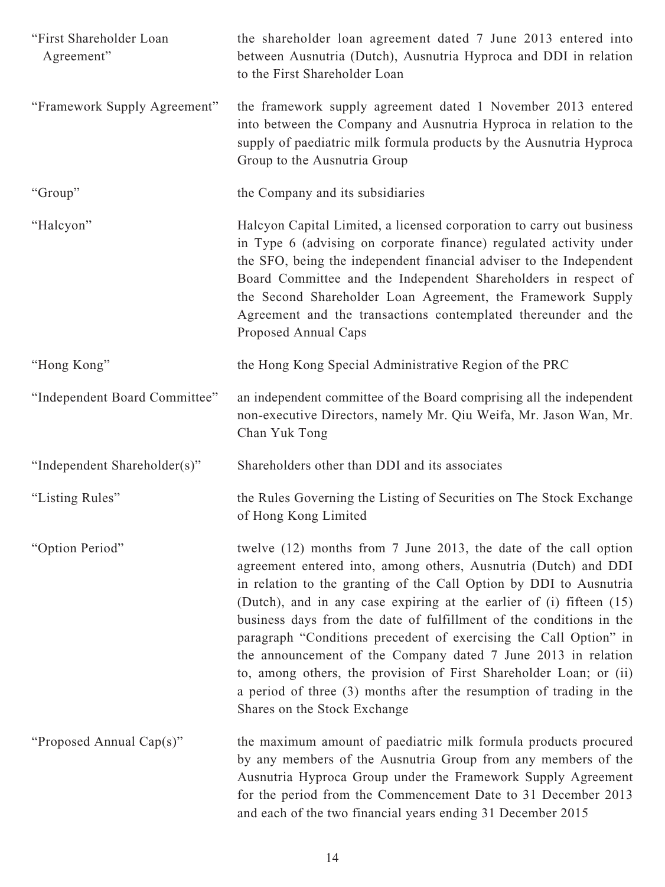| "First Shareholder Loan<br>Agreement" | the shareholder loan agreement dated 7 June 2013 entered into<br>between Ausnutria (Dutch), Ausnutria Hyproca and DDI in relation<br>to the First Shareholder Loan                                                                                                                                                                                                                                                                                                                                                                                                                                                                                                          |
|---------------------------------------|-----------------------------------------------------------------------------------------------------------------------------------------------------------------------------------------------------------------------------------------------------------------------------------------------------------------------------------------------------------------------------------------------------------------------------------------------------------------------------------------------------------------------------------------------------------------------------------------------------------------------------------------------------------------------------|
| "Framework Supply Agreement"          | the framework supply agreement dated 1 November 2013 entered<br>into between the Company and Ausnutria Hyproca in relation to the<br>supply of paediatric milk formula products by the Ausnutria Hyproca<br>Group to the Ausnutria Group                                                                                                                                                                                                                                                                                                                                                                                                                                    |
| "Group"                               | the Company and its subsidiaries                                                                                                                                                                                                                                                                                                                                                                                                                                                                                                                                                                                                                                            |
| "Halcyon"                             | Halcyon Capital Limited, a licensed corporation to carry out business<br>in Type 6 (advising on corporate finance) regulated activity under<br>the SFO, being the independent financial adviser to the Independent<br>Board Committee and the Independent Shareholders in respect of<br>the Second Shareholder Loan Agreement, the Framework Supply<br>Agreement and the transactions contemplated thereunder and the<br>Proposed Annual Caps                                                                                                                                                                                                                               |
| "Hong Kong"                           | the Hong Kong Special Administrative Region of the PRC                                                                                                                                                                                                                                                                                                                                                                                                                                                                                                                                                                                                                      |
| "Independent Board Committee"         | an independent committee of the Board comprising all the independent<br>non-executive Directors, namely Mr. Qiu Weifa, Mr. Jason Wan, Mr.<br>Chan Yuk Tong                                                                                                                                                                                                                                                                                                                                                                                                                                                                                                                  |
| "Independent Shareholder(s)"          | Shareholders other than DDI and its associates                                                                                                                                                                                                                                                                                                                                                                                                                                                                                                                                                                                                                              |
| "Listing Rules"                       | the Rules Governing the Listing of Securities on The Stock Exchange<br>of Hong Kong Limited                                                                                                                                                                                                                                                                                                                                                                                                                                                                                                                                                                                 |
| "Option Period"                       | twelve (12) months from 7 June 2013, the date of the call option<br>agreement entered into, among others, Ausnutria (Dutch) and DDI<br>in relation to the granting of the Call Option by DDI to Ausnutria<br>(Dutch), and in any case expiring at the earlier of (i) fifteen (15)<br>business days from the date of fulfillment of the conditions in the<br>paragraph "Conditions precedent of exercising the Call Option" in<br>the announcement of the Company dated 7 June 2013 in relation<br>to, among others, the provision of First Shareholder Loan; or (ii)<br>a period of three (3) months after the resumption of trading in the<br>Shares on the Stock Exchange |
| "Proposed Annual Cap(s)"              | the maximum amount of paediatric milk formula products procured<br>by any members of the Ausnutria Group from any members of the<br>Ausnutria Hyproca Group under the Framework Supply Agreement<br>for the period from the Commencement Date to 31 December 2013<br>and each of the two financial years ending 31 December 2015                                                                                                                                                                                                                                                                                                                                            |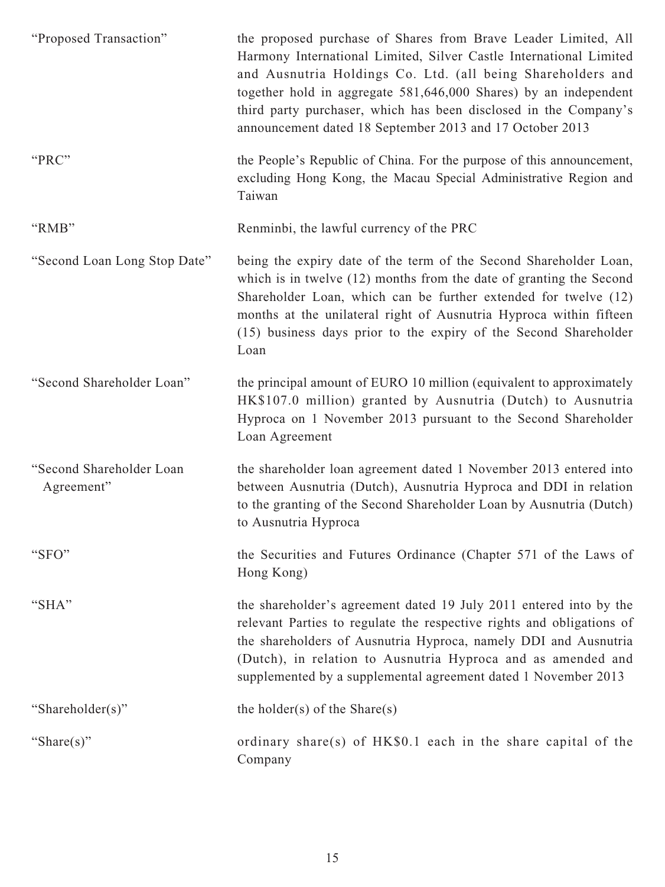| "Proposed Transaction"                 | the proposed purchase of Shares from Brave Leader Limited, All<br>Harmony International Limited, Silver Castle International Limited<br>and Ausnutria Holdings Co. Ltd. (all being Shareholders and<br>together hold in aggregate 581,646,000 Shares) by an independent<br>third party purchaser, which has been disclosed in the Company's<br>announcement dated 18 September 2013 and 17 October 2013 |
|----------------------------------------|---------------------------------------------------------------------------------------------------------------------------------------------------------------------------------------------------------------------------------------------------------------------------------------------------------------------------------------------------------------------------------------------------------|
| "PRC"                                  | the People's Republic of China. For the purpose of this announcement,<br>excluding Hong Kong, the Macau Special Administrative Region and<br>Taiwan                                                                                                                                                                                                                                                     |
| "RMB"                                  | Renminbi, the lawful currency of the PRC                                                                                                                                                                                                                                                                                                                                                                |
| "Second Loan Long Stop Date"           | being the expiry date of the term of the Second Shareholder Loan,<br>which is in twelve $(12)$ months from the date of granting the Second<br>Shareholder Loan, which can be further extended for twelve (12)<br>months at the unilateral right of Ausnutria Hyproca within fifteen<br>(15) business days prior to the expiry of the Second Shareholder<br>Loan                                         |
| "Second Shareholder Loan"              | the principal amount of EURO 10 million (equivalent to approximately<br>HK\$107.0 million) granted by Ausnutria (Dutch) to Ausnutria<br>Hyproca on 1 November 2013 pursuant to the Second Shareholder<br>Loan Agreement                                                                                                                                                                                 |
| "Second Shareholder Loan<br>Agreement" | the shareholder loan agreement dated 1 November 2013 entered into<br>between Ausnutria (Dutch), Ausnutria Hyproca and DDI in relation<br>to the granting of the Second Shareholder Loan by Ausnutria (Dutch)<br>to Ausnutria Hyproca                                                                                                                                                                    |
| "SFO"                                  | the Securities and Futures Ordinance (Chapter 571 of the Laws of<br>Hong Kong)                                                                                                                                                                                                                                                                                                                          |
| "SHA"                                  | the shareholder's agreement dated 19 July 2011 entered into by the<br>relevant Parties to regulate the respective rights and obligations of<br>the shareholders of Ausnutria Hyproca, namely DDI and Ausnutria<br>(Dutch), in relation to Ausnutria Hyproca and as amended and<br>supplemented by a supplemental agreement dated 1 November 2013                                                        |
| "Shareholder(s)"                       | the holder(s) of the Share(s)                                                                                                                                                                                                                                                                                                                                                                           |
| "Share $(s)$ "                         | ordinary share(s) of $HK\$0.1$ each in the share capital of the<br>Company                                                                                                                                                                                                                                                                                                                              |